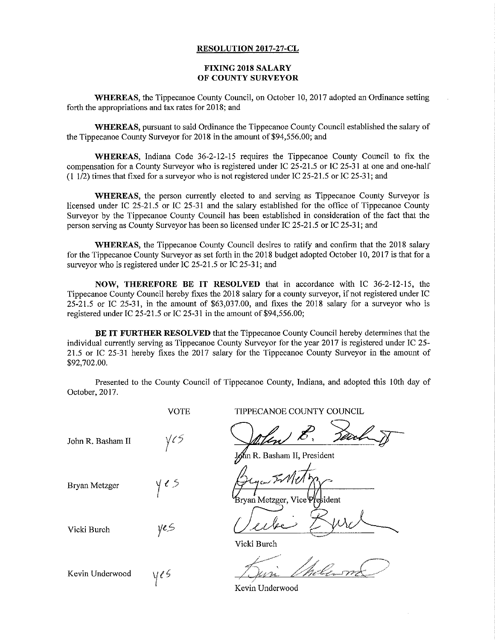## RESOLUTION 2017-27-CL

## FIXING 2018 SALARY OF COUNTY SURVEYOR

WHEREAS, the Tippecanoe County Council, on October 10, 2017 adopted an Ordinance setting forth the appropriations and tax rates for 2018; and

WHEREAS, pursuant to said Ordinance the Tippecanoe County Council established the salary of the Tippecanoe County Surveyor for 2018 in the amount of \$94,556.00; and

WHEREAS, Indiana Code 36-2-12—15 requires the Tippecanoe County Council to fix the compensation for <sup>a</sup> County Surveyor who is registered under IC 25-215 or IC 25-31 at one and one-half  $(1\ 1/2)$  times that fixed for a surveyor who is not registered under IC 25-21.5 or IC 25-31; and

WHEREAS, the person currently elected to and serving as Tippecanoe County Surveyor is licensed under IC 25-21.5 or IC 25-31 and the salary established for the office of Tippecanoe County Surveyor by the Tippecanoe County Council has been established in consideration of the fact that the person serving as County Surveyor has been so licensed under IC 25-215 or 1C 25-31; and

WHEREAS, the Tippecanoe County Council desires to ratify and confirm that the 2018 salary for the Tippecanoe County Surveyor as set forth in the 2018 budget adopted October 10, 2017 is that for <sup>a</sup> surveyor who is registered under IC 25-21.5 or IC 25-31; and

NOW, THEREFORE BE IT RESOLVED that in accordance with IC 36—2—12-15, the Tippecanoe County Council hereby fixes the 2018 salary for <sup>a</sup> county surveyor, if not registered under IC 25-215 or 1C 25-31, in the amount of \$63,037.00, and fixes the 2018 salary for <sup>a</sup> surveyor who is registered under IC 25~21.5 or 1C 25-31 in the amount of \$94,556.00;

BE IT FURTHER RESOLVED that the Tippecanoe County Council hereby determines that the individual currently serving as Tippecanoe County Surveyor for the year 2017 is registered under 1C 25— 21.5 or IC 25-31 hereby fixes the 2017 salary for the Tippecanoe County Surveyor in the amount of \$92,702.00.

Presented to the County Conncil of Tippecanoe County, Indiana, and adopted this 10th day of October, 2017.

 $\gamma$ es Vicki Burch  $y \in S$   $\bigcup \mathcal{L} \cup \mathcal{L} \subseteq \bigcup$ Vicki Burch John R. Basham II  $\sqrt{\zeta}$ Bryan Metzger Kevin Underwood  $\sqrt{\ell}$ 

VOTE TIPPECANOE COUNTY COUNCIL

8. Sarl J

n R. Basham II, President

Bryan Metzger, Vice President By The Top of the Company

 $1.227$ 

Kevin Underwood